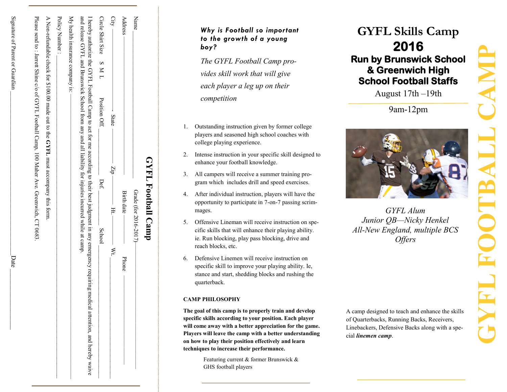| GYFL Football Camp                                                                                                                                                                                                                                               |         |
|------------------------------------------------------------------------------------------------------------------------------------------------------------------------------------------------------------------------------------------------------------------|---------|
| Grade (for 2016-2017)-                                                                                                                                                                                                                                           | Name    |
| Birth date<br>Phone                                                                                                                                                                                                                                              | Address |
| - State<br>$-45-$<br>.<br>∓<br>- Wt.                                                                                                                                                                                                                             | City    |
| Position Off.<br>Def.<br>School                                                                                                                                                                                                                                  |         |
| and release GYFL and Brunswick School from any and all itability for injuries incurred while at camp.<br>I hereby authorize the GYFL Football Camp to act for me according to their best judgment in any emergency requiring medical attention, and hereby waive |         |
| My health insurance company is: -                                                                                                                                                                                                                                |         |
| Policy Number:                                                                                                                                                                                                                                                   |         |
| A Mon-refundable check for \$100.00 made out to the GYFL must accompany this form.                                                                                                                                                                               |         |
| Please send to : Januat Shine e/o of QXPLF, Football Camp, I OO Maher A-xe. Qreenwich, QL 0683                                                                                                                                                                   |         |

Signature of Parent or Guardian  $\frac{1}{2}$ 

Signature of Parent or Guardian

Date

Date

### *Why is Football so important to the growth of a young boy?*

*The GYFL Football Camp provides skill work that will give each player a leg up on their competition*

- 1. Outstanding instruction given by former college players and seasoned high school coaches with college playing experience.
- 2. Intense instruction in your specific skill designed to enhance your football knowledge.
- 3. All campers will receive a summer training program which includes drill and speed exercises.
- 4. After individual instruction, players will have the opportunity to participate in 7 -on -7 passing scrimmages.
- 5. Offensive Lineman will receive instruction on specific skills that will enhance their playing ability. ie. Run blocking, play pass blocking, drive and reach blocks, etc.
- 6. Defensive Linemen will receive instruction on specific skill to improve your playing ability. Ie, stance and start, shedding blocks and rushing the quarterback.

### **CAMP PHILOSOPHY**

**The goal of this camp is to properly train and develop specific skills according to your position. Each player will come away with a better appreciation for the game. Players will leave the camp with a better understanding on how to play their position effectively and learn techniques to increase their performance.** 

> Featuring current & former Brunswick & GHS football players

# **GYFL Skills Camp 2016 Run by Brunswick School & Greenwich High School Football Staffs**

August 17th –19th

9am -12pm



*GYFL Alum Junior QB —Nicky Henkel All -New England, multiple BCS Offers* 

A camp designed to teach and enhance the skills of Quarterbacks, Running Backs, Receivers, Linebackers, Defensive Backs along with a special *linemen camp*.

# **GYFL FOOTBALL CAMP**TRIX.